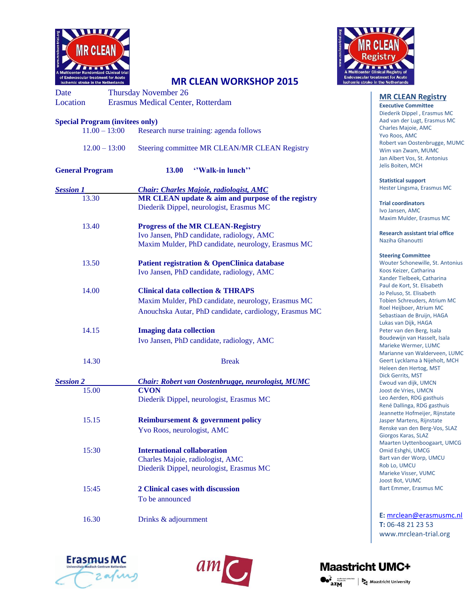



## **MR CLEAN WORKSHOP 2015**

Date Thursday November 26 Location Erasmus Medical Center, Rotterdam

| <b>Special Program (invitees only)</b> |                                                                                                                                                              |
|----------------------------------------|--------------------------------------------------------------------------------------------------------------------------------------------------------------|
| $11.00 - 13:00$                        | Research nurse training: agenda follows                                                                                                                      |
| $12.00 - 13:00$                        | Steering committee MR CLEAN/MR CLEAN Registry                                                                                                                |
| <b>General Program</b>                 | "Walk-in lunch"<br><b>13.00</b>                                                                                                                              |
| <b>Session 1</b>                       | <b>Chair: Charles Majoie, radiologist, AMC</b>                                                                                                               |
| 13.30                                  | MR CLEAN update & aim and purpose of the registry<br>Diederik Dippel, neurologist, Erasmus MC                                                                |
| 13.40                                  | <b>Progress of the MR CLEAN-Registry</b><br>Ivo Jansen, PhD candidate, radiology, AMC<br>Maxim Mulder, PhD candidate, neurology, Erasmus MC                  |
| 13.50                                  | Patient registration & OpenClinica database<br>Ivo Jansen, PhD candidate, radiology, AMC                                                                     |
| 14.00                                  | <b>Clinical data collection &amp; THRAPS</b><br>Maxim Mulder, PhD candidate, neurology, Erasmus MC<br>Anouchska Autar, PhD candidate, cardiology, Erasmus MC |
| 14.15                                  | <b>Imaging data collection</b><br>Ivo Jansen, PhD candidate, radiology, AMC                                                                                  |
| 14.30                                  | <b>Break</b>                                                                                                                                                 |
| <b>Session 2</b>                       | <b>Chair: Robert van Oostenbrugge, neurologist, MUMC</b>                                                                                                     |
| 15.00                                  | <b>CVON</b><br>Diederik Dippel, neurologist, Erasmus MC                                                                                                      |
| 15.15                                  | Reimbursement & government policy<br>Yvo Roos, neurologist, AMC                                                                                              |
| 15:30                                  | <b>International collaboration</b><br>Charles Majoie, radiologist, AMC<br>Diederik Dippel, neurologist, Erasmus MC                                           |
| 15:45                                  | 2 Clinical cases with discussion<br>To be announced                                                                                                          |

16.30 Drinks & adjournment

**MR CLEAN Registry** 

**Executive Committee** Diederik Dippel , Erasmus MC Aad van der Lugt, Erasmus MC Charles Majoie, AMC Yvo Roos, AMC Robert van Oostenbrugge, MUMC Wim van Zwam, MUMC Jan Albert Vos, St. Antonius Jelis Boiten, MCH

**Statistical support** Hester Lingsma, Erasmus MC

**Trial coordinators** Ivo Jansen, AMC Maxim Mulder, Erasmus MC

**Research assistant trial office** Naziha Ghanoutti

#### **Steering Committee**

Wouter Schonewille, St. Antonius Koos Keizer, Catharina Xander Tielbeek, Catharina Paul de Kort, St. Elisabeth Jo Peluso, St. Elisabeth Tobien Schreuders, Atrium MC Roel Heijboer, Atrium MC Sebastiaan de Bruijn, HAGA Lukas van Dijk, HAGA Peter van den Berg, Isala Boudewijn van Hasselt, Isala Marieke Wermer, LUMC Marianne van Walderveen, LUMC Geert Lycklama à Nijeholt, MCH Heleen den Hertog, MST Dick Gerrits, MST Ewoud van dijk, UMCN Joost de Vries, UMCN Leo Aerden, RDG gasthuis René Dallinga, RDG gasthuis Jeannette Hofmeijer, Rijnstate Jasper Martens, Rijnstate Renske van den Berg-Vos, SLAZ Giorgos Karas, SLAZ Maarten Uyttenboogaart, UMCG Omid Eshghi, UMCG Bart van der Worp, UMCU Rob Lo, UMCU Marieke Visser, VUMC Joost Bot, VUMC Bart Emmer, Erasmus MC

**E:** [mrclean@erasmusmc.nl](mailto:mrclean@erasmusmc.nl) **T:** 06-48 21 23 53 www.mrclean-trial.org